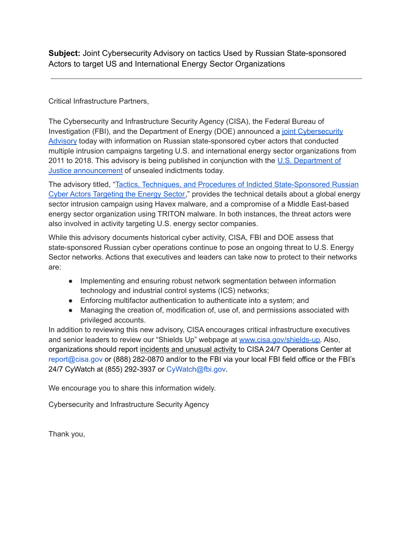**Subject:** Joint Cybersecurity Advisory on tactics Used by Russian State-sponsored Actors to target US and International Energy Sector Organizations

Critical Infrastructure Partners,

The Cybersecurity and Infrastructure Security Agency (CISA), the Federal Bureau of Investigation (FBI), and the Department of Energy (DOE) announced a joint [Cybersecurity](https://linkprotect.cudasvc.com/url?a=https%3a%2f%2fwww.cisa.gov%2fuscert%2fncas%2fcurrent-activity%2f2022%2f03%2f24%2fstate-sponsored-russian-cyber-actors-targeted-energy-sector-2011&c=E,1,2oX8otRBRVX_6DpNM3bvbnPVY4rb1rTPP-iqbAuu3htTothfQVgmmQ_phf_7CwkokMPJiQNgJcj_np3uPReDwJkDj7jYeM-URM5xs7QlnJ0,&typo=1) [Advisory](https://linkprotect.cudasvc.com/url?a=https%3a%2f%2fwww.cisa.gov%2fuscert%2fncas%2fcurrent-activity%2f2022%2f03%2f24%2fstate-sponsored-russian-cyber-actors-targeted-energy-sector-2011&c=E,1,2oX8otRBRVX_6DpNM3bvbnPVY4rb1rTPP-iqbAuu3htTothfQVgmmQ_phf_7CwkokMPJiQNgJcj_np3uPReDwJkDj7jYeM-URM5xs7QlnJ0,&typo=1) today with information on Russian state-sponsored cyber actors that conducted multiple intrusion campaigns targeting U.S. and international energy sector organizations from 2011 to 2018. This advisory is being published in conjunction with the U.S. [Department](https://www.justice.gov/opa/pr/four-russian-government-employees-charged-two-historical-hacking-campaigns-targeting-critical) of Justice [announcement](https://www.justice.gov/opa/pr/four-russian-government-employees-charged-two-historical-hacking-campaigns-targeting-critical) of unsealed indictments today.

The advisory titled, "Tactics, Techniques, and Procedures of Indicted [State-Sponsored](https://linkprotect.cudasvc.com/url?a=https%3a%2f%2fwww.cisa.gov%2fuscert%2fncas%2falerts%2faa22-083a&c=E,1,K_o60C-hgxCuNO0AoNZ2pSHds-TZUbh9rd9GU7KC32Yf4z9Kj-z92I1hWpFmWT0YZwbTfcpXMo7j4NsTowmdVRjnrBXoF-OQ76BHJI8j3wpVyIxH6fcqQwiU&typo=1) Russian Cyber Actors [Targeting](https://linkprotect.cudasvc.com/url?a=https%3a%2f%2fwww.cisa.gov%2fuscert%2fncas%2falerts%2faa22-083a&c=E,1,K_o60C-hgxCuNO0AoNZ2pSHds-TZUbh9rd9GU7KC32Yf4z9Kj-z92I1hWpFmWT0YZwbTfcpXMo7j4NsTowmdVRjnrBXoF-OQ76BHJI8j3wpVyIxH6fcqQwiU&typo=1) the Energy Sector," provides the technical details about a global energy sector intrusion campaign using Havex malware, and a compromise of a Middle East-based energy sector organization using TRITON malware. In both instances, the threat actors were also involved in activity targeting U.S. energy sector companies.

While this advisory documents historical cyber activity, CISA, FBI and DOE assess that state-sponsored Russian cyber operations continue to pose an ongoing threat to U.S. Energy Sector networks. Actions that executives and leaders can take now to protect to their networks are:

- Implementing and ensuring robust network segmentation between information technology and industrial control systems (ICS) networks;
- Enforcing multifactor authentication to authenticate into a system; and
- Managing the creation of, modification of, use of, and permissions associated with privileged accounts.

In addition to reviewing this new advisory, CISA encourages critical infrastructure executives and senior leaders to review our "Shields Up" webpage at [www.cisa.gov/shields-up.](https://linkprotect.cudasvc.com/url?a=http%3a%2f%2fwww.cisa.gov%2fshields-up&c=E,1,2ZaljQao-55GBDDKYxqyPQy9RCbNzFImNZQOOx6yKI4dUONn3Q8HiB44V6_uTDwD8OXUFOBqYLt86OgTz6HqoPyRfJFxaXIirsRzOqN5&typo=1) Also, organizations should report incidents and unusual activity to CISA 24/7 Operations Center at report@cisa.gov or (888) 282-0870 and/or to the FBI via your local FBI field office or the FBI's 24/7 CyWatch at (855) 292-3937 or CyWatch@fbi.gov.

We encourage you to share this information widely.

Cybersecurity and Infrastructure Security Agency

Thank you,